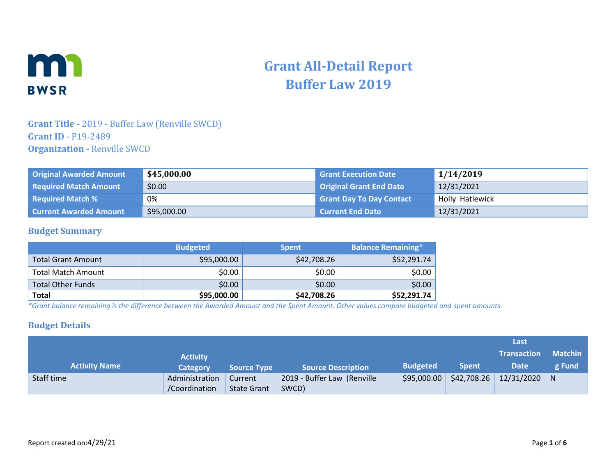

# **Grant All-Detail Report Buffer Law 2019**

### **Grant Title -** 2019 - Buffer Law (Renville SWCD) **Grant ID** - P19-2489 **Organization -** Renville SWCD

| <b>Original Awarded Amount</b> | \$45,000.00 | <b>Grant Execution Date</b>     | 1/14/2019       |
|--------------------------------|-------------|---------------------------------|-----------------|
| <b>Required Match Amount</b>   | \$0.00      | <b>Original Grant End Date</b>  | 12/31/2021      |
| <b>Required Match %</b>        | 0%          | <b>Grant Day To Day Contact</b> | Holly Hatlewick |
| <b>Current Awarded Amount</b>  | \$95,000.00 | Current End Date                | 12/31/2021      |

#### **Budget Summary**

|                           | <b>Budgeted</b> | <b>Spent</b> | <b>Balance Remaining*</b> |
|---------------------------|-----------------|--------------|---------------------------|
| <b>Total Grant Amount</b> | \$95,000.00     | \$42,708.26  | \$52,291.74               |
| <b>Total Match Amount</b> | \$0.00          | \$0.00       | \$0.00                    |
| <b>Total Other Funds</b>  | \$0.00          | \$0.00       | \$0.00                    |
| <b>Total</b>              | \$95,000.00     | \$42,708.26  | \$52,291.74               |

*\*Grant balance remaining is the difference between the Awarded Amount and the Spent Amount. Other values compare budgeted and spent amounts.*

#### **Budget Details**

|                      |                 |                    |                             |                 |              | Last               |                |
|----------------------|-----------------|--------------------|-----------------------------|-----------------|--------------|--------------------|----------------|
|                      | <b>Activity</b> |                    |                             |                 |              | <b>Transaction</b> | <b>Matchin</b> |
| <b>Activity Name</b> | <b>Category</b> | <b>Source Type</b> | <b>Source Description</b>   | <b>Budgeted</b> | <b>Spent</b> | <b>Date</b>        | g Fund         |
| Staff time           | Administration  | Current            | 2019 - Buffer Law (Renville | \$95,000.00     | \$42,708.26  | $12/31/2020$   N   |                |
|                      | /Coordination   | <b>State Grant</b> | SWCD)                       |                 |              |                    |                |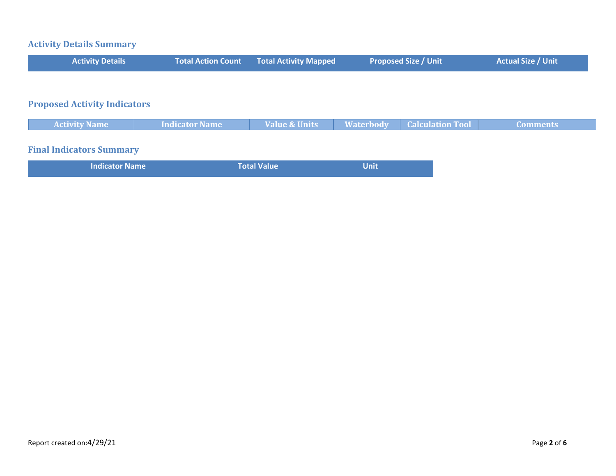# **Activity Details Summary**

| <b>Activity Details</b>             | <b>Total Action Count</b> | <b>Total Activity Mapped</b> | <b>Proposed Size / Unit</b>                 | <b>Actual Size / Unit</b> |
|-------------------------------------|---------------------------|------------------------------|---------------------------------------------|---------------------------|
|                                     |                           |                              |                                             |                           |
| <b>Proposed Activity Indicators</b> |                           |                              |                                             |                           |
| <b>Activity Name</b>                | Indicator Name            | <b>Value &amp; Units</b>     | <b>Calculation Tool</b><br><b>Waterbody</b> | <b>Comments</b>           |
| <b>Final Indicators Summary</b>     |                           |                              |                                             |                           |

| <b>Indicator Name</b> | <b>Total Value</b> | <b>Unit</b> |
|-----------------------|--------------------|-------------|
|                       |                    |             |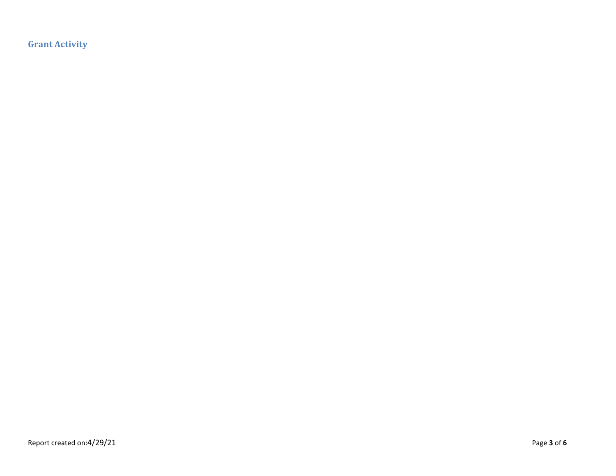**Grant Activity**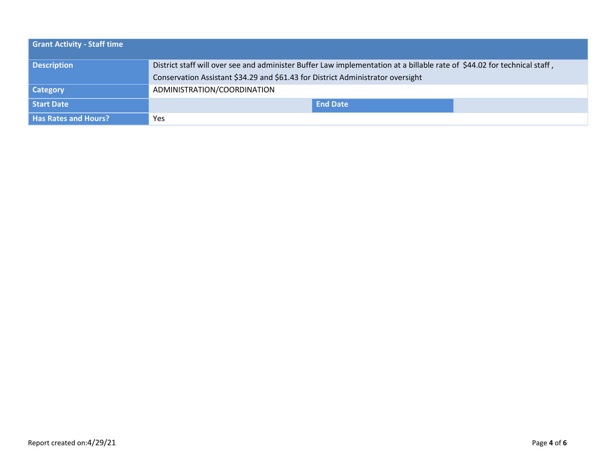| <b>Grant Activity - Staff time</b> |                                                                                                                          |
|------------------------------------|--------------------------------------------------------------------------------------------------------------------------|
| <b>Description</b>                 | District staff will over see and administer Buffer Law implementation at a billable rate of \$44.02 for technical staff, |
|                                    | Conservation Assistant \$34.29 and \$61.43 for District Administrator oversight                                          |
| <b>Category</b>                    | ADMINISTRATION/COORDINATION                                                                                              |
| Start Date                         | <b>End Date</b>                                                                                                          |
| <b>Has Rates and Hours?</b>        | Yes                                                                                                                      |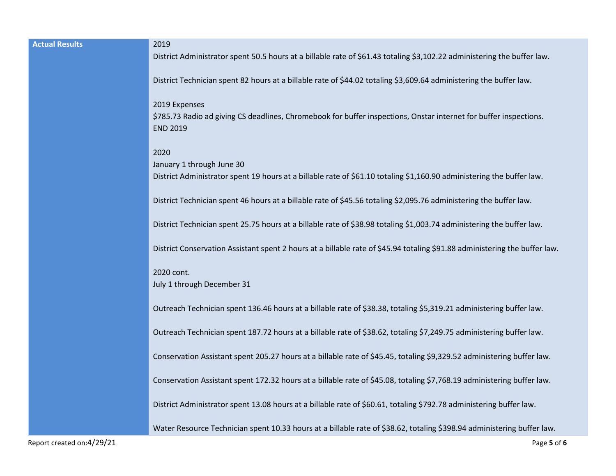| <b>Actual Results</b>     | 2019                                                                                                                                                       |
|---------------------------|------------------------------------------------------------------------------------------------------------------------------------------------------------|
|                           | District Administrator spent 50.5 hours at a billable rate of \$61.43 totaling \$3,102.22 administering the buffer law.                                    |
|                           | District Technician spent 82 hours at a billable rate of \$44.02 totaling \$3,609.64 administering the buffer law.                                         |
|                           | 2019 Expenses<br>\$785.73 Radio ad giving CS deadlines, Chromebook for buffer inspections, Onstar internet for buffer inspections.<br><b>END 2019</b>      |
|                           | 2020<br>January 1 through June 30<br>District Administrator spent 19 hours at a billable rate of \$61.10 totaling \$1,160.90 administering the buffer law. |
|                           | District Technician spent 46 hours at a billable rate of \$45.56 totaling \$2,095.76 administering the buffer law.                                         |
|                           | District Technician spent 25.75 hours at a billable rate of \$38.98 totaling \$1,003.74 administering the buffer law.                                      |
|                           | District Conservation Assistant spent 2 hours at a billable rate of \$45.94 totaling \$91.88 administering the buffer law.                                 |
|                           | 2020 cont.<br>July 1 through December 31                                                                                                                   |
|                           | Outreach Technician spent 136.46 hours at a billable rate of \$38.38, totaling \$5,319.21 administering buffer law.                                        |
|                           | Outreach Technician spent 187.72 hours at a billable rate of \$38.62, totaling \$7,249.75 administering buffer law.                                        |
|                           | Conservation Assistant spent 205.27 hours at a billable rate of \$45.45, totaling \$9,329.52 administering buffer law.                                     |
|                           | Conservation Assistant spent 172.32 hours at a billable rate of \$45.08, totaling \$7,768.19 administering buffer law.                                     |
|                           | District Administrator spent 13.08 hours at a billable rate of \$60.61, totaling \$792.78 administering buffer law.                                        |
|                           | Water Resource Technician spent 10.33 hours at a billable rate of \$38.62, totaling \$398.94 administering buffer law.                                     |
| Report created on:4/29/21 | Page 5 of 6                                                                                                                                                |